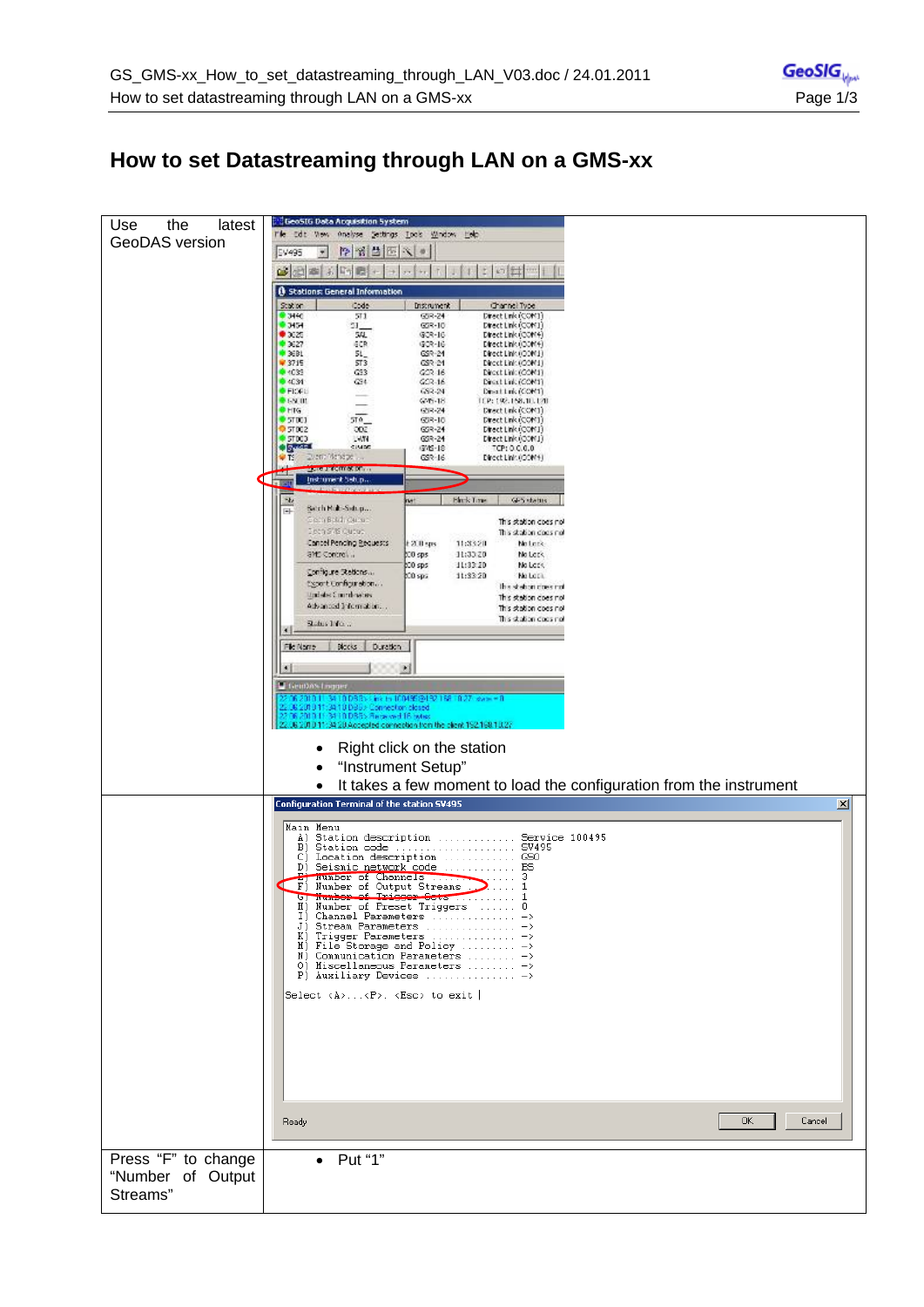## **How to set Datastreaming through LAN on a GMS-xx**

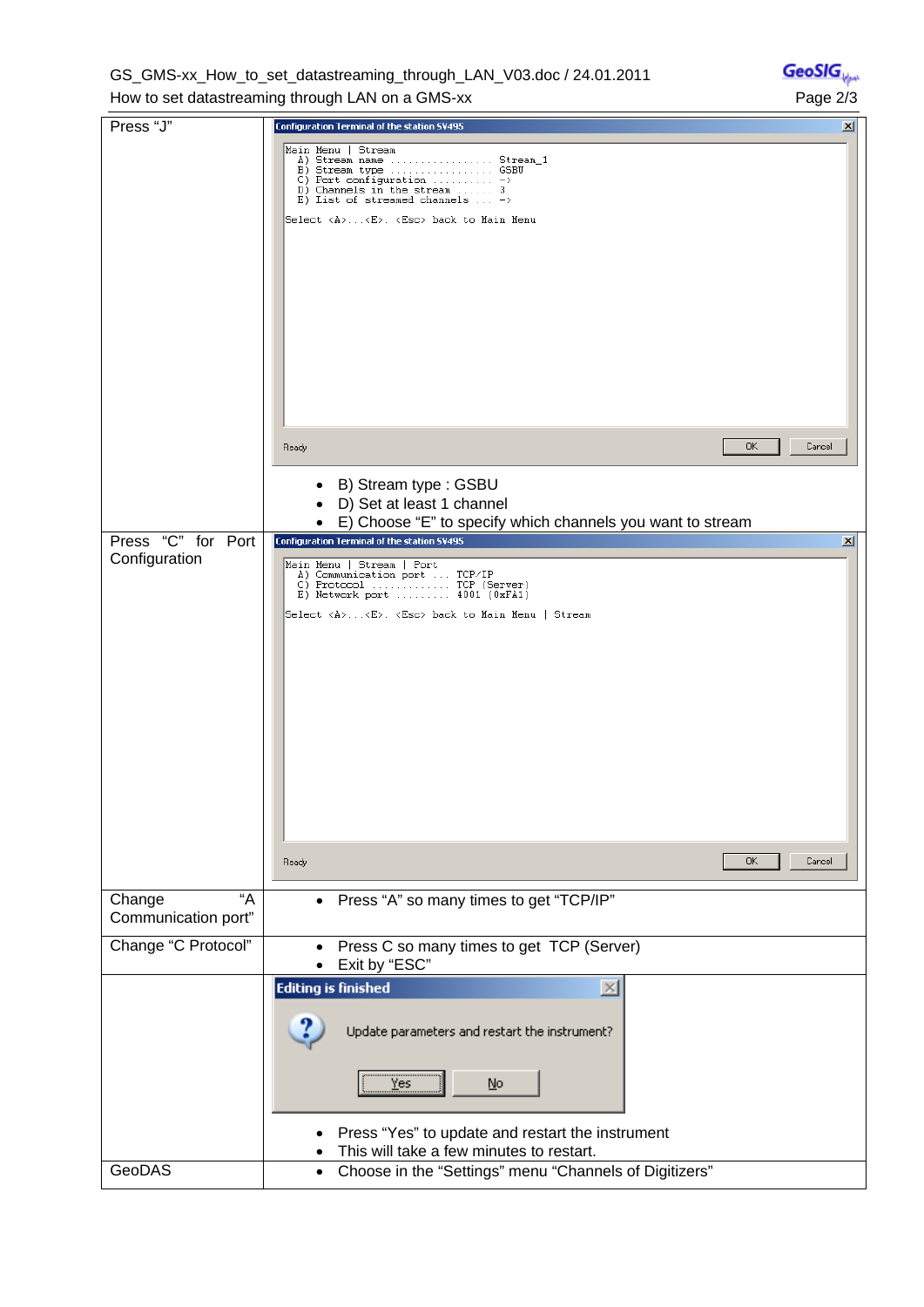GS\_GMS-xx\_How\_to\_set\_datastreaming\_through\_LAN\_V03.doc / 24.01.2011 How to set datastreaming through LAN on a GMS-xx Page 2/3

| Press "J"                           | Configuration Terminal of the station SV495                                                                                                                                                                                                                                                                   | $\vert x \vert$ |
|-------------------------------------|---------------------------------------------------------------------------------------------------------------------------------------------------------------------------------------------------------------------------------------------------------------------------------------------------------------|-----------------|
|                                     | Main Menu   Stream<br>A) Stream name  Stream_1<br>B) Stream type  GSBU<br>C) Port configuration $\dots \dots \dots \dots$<br>D) Channels in the stream  3<br>E) List of streamed channels $\dots$ -><br>Select <a><e>. <esc> back to Main Menu</esc></e></a>                                                  |                 |
|                                     | 0K<br>Cancel<br>Ready                                                                                                                                                                                                                                                                                         |                 |
|                                     | B) Stream type: GSBU<br>D) Set at least 1 channel<br>E) Choose "E" to specify which channels you want to stream<br>$\bullet$                                                                                                                                                                                  |                 |
| Press "C" for Port<br>Configuration | <b>Configuration Terminal of the station SV495</b>                                                                                                                                                                                                                                                            | ⊠               |
|                                     | Main Menu   Stream   Port<br>A) Communication port  TCP/IP<br>$\underline{\mathsf{C}}\, \, \texttt{Protocol} \, \, \ldots \, \, \ldots \, \, \texttt{TCP} \, \, \texttt{(Server)}$<br>E) Network port  4001 (0xFA1)<br>Select <a><e>. <esc> back to Main Menu   Stream<br/><b>OK</b><br/>Cancel</esc></e></a> |                 |
|                                     | Ready                                                                                                                                                                                                                                                                                                         |                 |
| "A<br>Change<br>Communication port" | • Press "A" so many times to get "TCP/IP"                                                                                                                                                                                                                                                                     |                 |
| Change "C Protocol"                 | Press C so many times to get TCP (Server)<br>$\bullet$<br>Exit by "ESC"                                                                                                                                                                                                                                       |                 |
|                                     | <b>Editing is finished</b><br>$\times$<br>Update parameters and restart the instrument?<br><br>Yes<br>No<br>Press "Yes" to update and restart the instrument<br>This will take a few minutes to restart.                                                                                                      |                 |
| GeoDAS                              | Choose in the "Settings" menu "Channels of Digitizers"<br>$\bullet$                                                                                                                                                                                                                                           |                 |